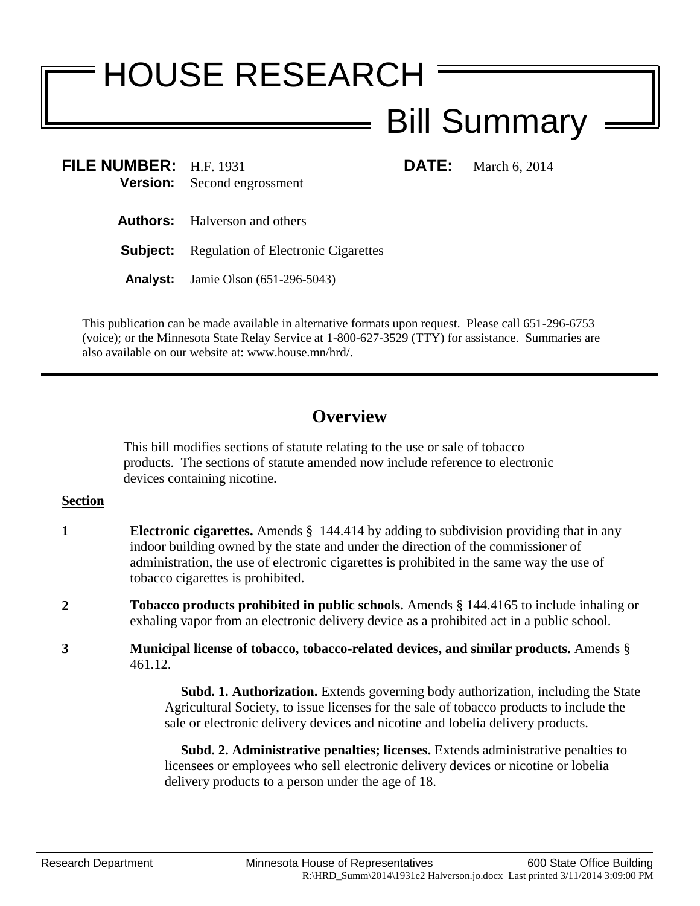# HOUSE RESEARCH

# Bill Summary

**FILE NUMBER:** H.F. 1931 **DATE:** March 6, 2014 **Version:** Second engrossment

**Authors:** Halverson and others

**Subject:** Regulation of Electronic Cigarettes

**Analyst:** Jamie Olson (651-296-5043)

This publication can be made available in alternative formats upon request. Please call 651-296-6753 (voice); or the Minnesota State Relay Service at 1-800-627-3529 (TTY) for assistance. Summaries are also available on our website at: www.house.mn/hrd/.

## **Overview**

This bill modifies sections of statute relating to the use or sale of tobacco products. The sections of statute amended now include reference to electronic devices containing nicotine.

### **Section**

- **1 Electronic cigarettes.** Amends § 144.414 by adding to subdivision providing that in any indoor building owned by the state and under the direction of the commissioner of administration, the use of electronic cigarettes is prohibited in the same way the use of tobacco cigarettes is prohibited.
- **2 Tobacco products prohibited in public schools.** Amends § 144.4165 to include inhaling or exhaling vapor from an electronic delivery device as a prohibited act in a public school.
- **3 Municipal license of tobacco, tobacco-related devices, and similar products.** Amends § 461.12.

 **Subd. 1. Authorization.** Extends governing body authorization, including the State Agricultural Society, to issue licenses for the sale of tobacco products to include the sale or electronic delivery devices and nicotine and lobelia delivery products.

 **Subd. 2. Administrative penalties; licenses.** Extends administrative penalties to licensees or employees who sell electronic delivery devices or nicotine or lobelia delivery products to a person under the age of 18.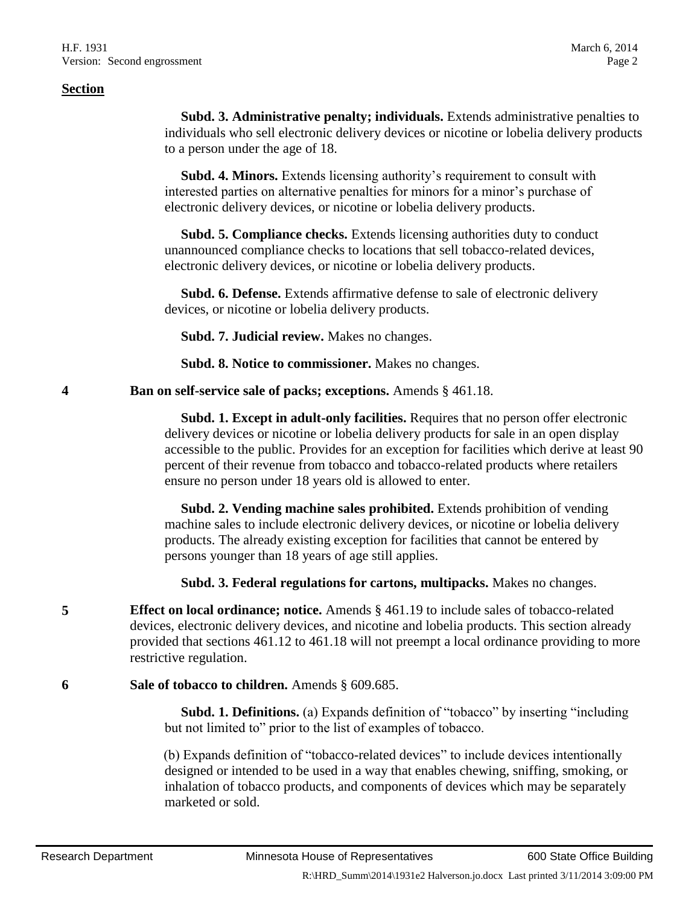**Subd. 3. Administrative penalty; individuals.** Extends administrative penalties to individuals who sell electronic delivery devices or nicotine or lobelia delivery products to a person under the age of 18.

 **Subd. 4. Minors.** Extends licensing authority's requirement to consult with interested parties on alternative penalties for minors for a minor's purchase of electronic delivery devices, or nicotine or lobelia delivery products.

 **Subd. 5. Compliance checks.** Extends licensing authorities duty to conduct unannounced compliance checks to locations that sell tobacco-related devices, electronic delivery devices, or nicotine or lobelia delivery products.

 **Subd. 6. Defense.** Extends affirmative defense to sale of electronic delivery devices, or nicotine or lobelia delivery products.

**Subd. 7. Judicial review.** Makes no changes.

**Subd. 8. Notice to commissioner.** Makes no changes.

**4 Ban on self-service sale of packs; exceptions.** Amends § 461.18.

 **Subd. 1. Except in adult-only facilities.** Requires that no person offer electronic delivery devices or nicotine or lobelia delivery products for sale in an open display accessible to the public. Provides for an exception for facilities which derive at least 90 percent of their revenue from tobacco and tobacco-related products where retailers ensure no person under 18 years old is allowed to enter.

 **Subd. 2. Vending machine sales prohibited.** Extends prohibition of vending machine sales to include electronic delivery devices, or nicotine or lobelia delivery products. The already existing exception for facilities that cannot be entered by persons younger than 18 years of age still applies.

**Subd. 3. Federal regulations for cartons, multipacks.** Makes no changes.

**5 Effect on local ordinance; notice.** Amends § 461.19 to include sales of tobacco-related devices, electronic delivery devices, and nicotine and lobelia products. This section already provided that sections 461.12 to 461.18 will not preempt a local ordinance providing to more restrictive regulation.

**6 Sale of tobacco to children.** Amends § 609.685.

 **Subd. 1. Definitions.** (a) Expands definition of "tobacco" by inserting "including but not limited to" prior to the list of examples of tobacco.

(b) Expands definition of "tobacco-related devices" to include devices intentionally designed or intended to be used in a way that enables chewing, sniffing, smoking, or inhalation of tobacco products, and components of devices which may be separately marketed or sold.